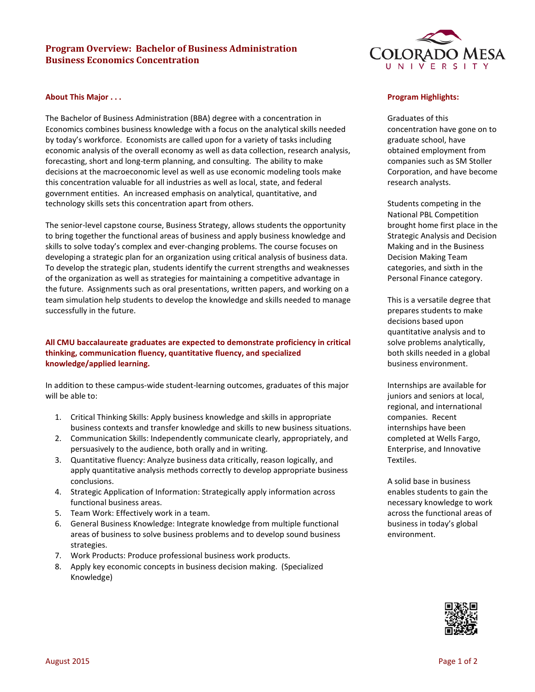# **Program Overview: Bachelor of Business Administration Business Economics Concentration**



#### **About This Major . . .**

The Bachelor of Business Administration (BBA) degree with a concentration in Economics combines business knowledge with a focus on the analytical skills needed by today's workforce. Economists are called upon for a variety of tasks including economic analysis of the overall economy as well as data collection, research analysis, forecasting, short and long-term planning, and consulting. The ability to make decisions at the macroeconomic level as well as use economic modeling tools make this concentration valuable for all industries as well as local, state, and federal government entities. An increased emphasis on analytical, quantitative, and technology skills sets this concentration apart from others.

The senior-level capstone course, Business Strategy, allows students the opportunity to bring together the functional areas of business and apply business knowledge and skills to solve today's complex and ever-changing problems. The course focuses on developing a strategic plan for an organization using critical analysis of business data. To develop the strategic plan, students identify the current strengths and weaknesses of the organization as well as strategies for maintaining a competitive advantage in the future. Assignments such as oral presentations, written papers, and working on a team simulation help students to develop the knowledge and skills needed to manage successfully in the future.

# **All CMU baccalaureate graduates are expected to demonstrate proficiency in critical thinking, communication fluency, quantitative fluency, and specialized knowledge/applied learning.**

In addition to these campus-wide student-learning outcomes, graduates of this major will be able to:

- 1. Critical Thinking Skills: Apply business knowledge and skills in appropriate business contexts and transfer knowledge and skills to new business situations.
- 2. Communication Skills: Independently communicate clearly, appropriately, and persuasively to the audience, both orally and in writing.
- 3. Quantitative fluency: Analyze business data critically, reason logically, and apply quantitative analysis methods correctly to develop appropriate business conclusions.
- 4. Strategic Application of Information: Strategically apply information across functional business areas.
- 5. Team Work: Effectively work in a team.
- 6. General Business Knowledge: Integrate knowledge from multiple functional areas of business to solve business problems and to develop sound business strategies.
- 7. Work Products: Produce professional business work products.
- 8. Apply key economic concepts in business decision making. (Specialized Knowledge)

#### **Program Highlights:**

Graduates of this concentration have gone on to graduate school, have obtained employment from companies such as SM Stoller Corporation, and have become research analysts.

Students competing in the National PBL Competition brought home first place in the Strategic Analysis and Decision Making and in the Business Decision Making Team categories, and sixth in the Personal Finance category.

This is a versatile degree that prepares students to make decisions based upon quantitative analysis and to solve problems analytically, both skills needed in a global business environment.

Internships are available for juniors and seniors at local, regional, and international companies. Recent internships have been completed at Wells Fargo, Enterprise, and Innovative Textiles.

A solid base in business enables students to gain the necessary knowledge to work across the functional areas of business in today's global environment.